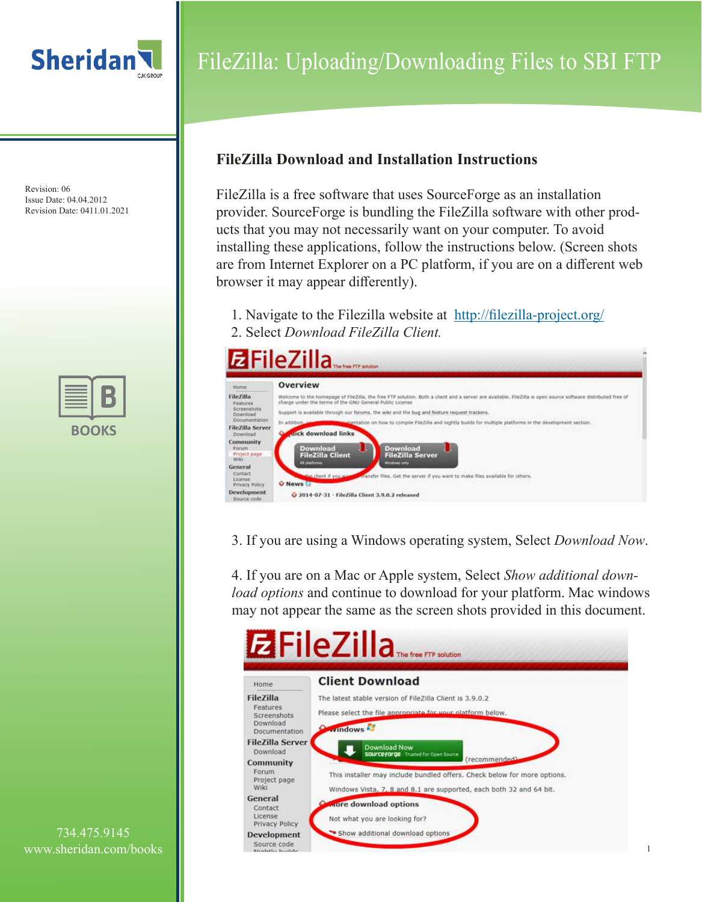

Revision: 06 Issue Date: 04.04.2012 Revision Date: 0411.01.2021

| BO | <b>UKS</b> |
|----|------------|

# FileZilla: Uploading/Downloading Files to SBI FTP

### **FileZilla Download and Installation Instructions**

FileZilla is a free software that uses SourceForge as an installation provider. SourceForge is bundling the FileZilla software with other products that you may not necessarily want on your computer. To avoid installing these applications, follow the instructions below. (Screen shots are from Internet Explorer on a PC platform, if you are on a different web browser it may appear differently).

1. Navigate to the Filezilla website at http://filezilla-project.org/ 2. Select *Download FileZilla Client.*



3. If you are using a Windows operating system, Select *Download Now*.

4. If you are on a Mac or Apple system, Select *Show additional download options* and continue to download for your platform. Mac windows may not appear the same as the screen shots provided in this document.

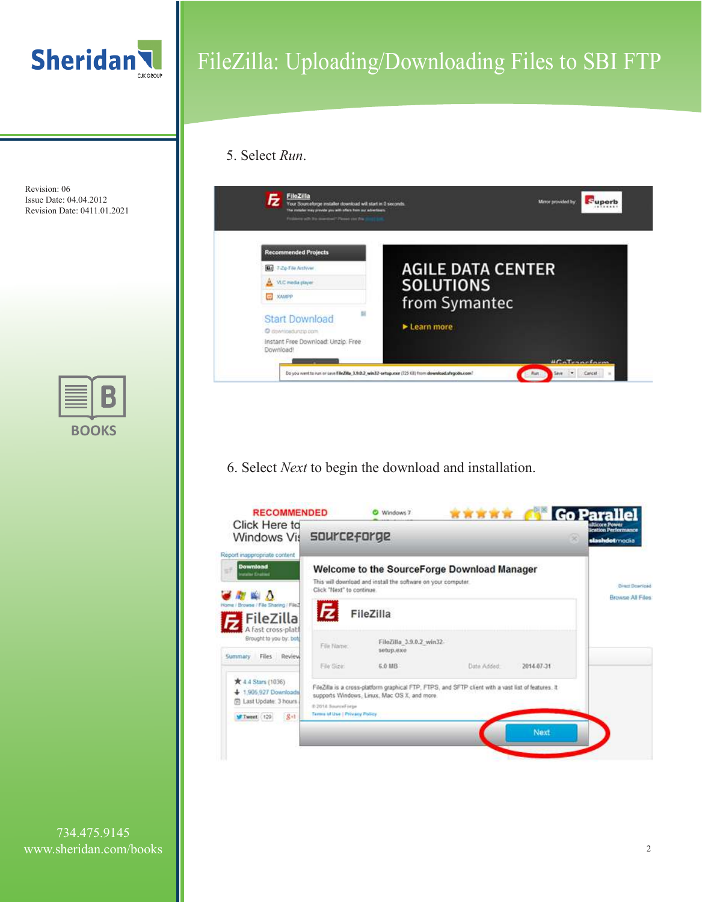

#### 5. Select *Run*.



6. Select *Next* to begin the download and installation.



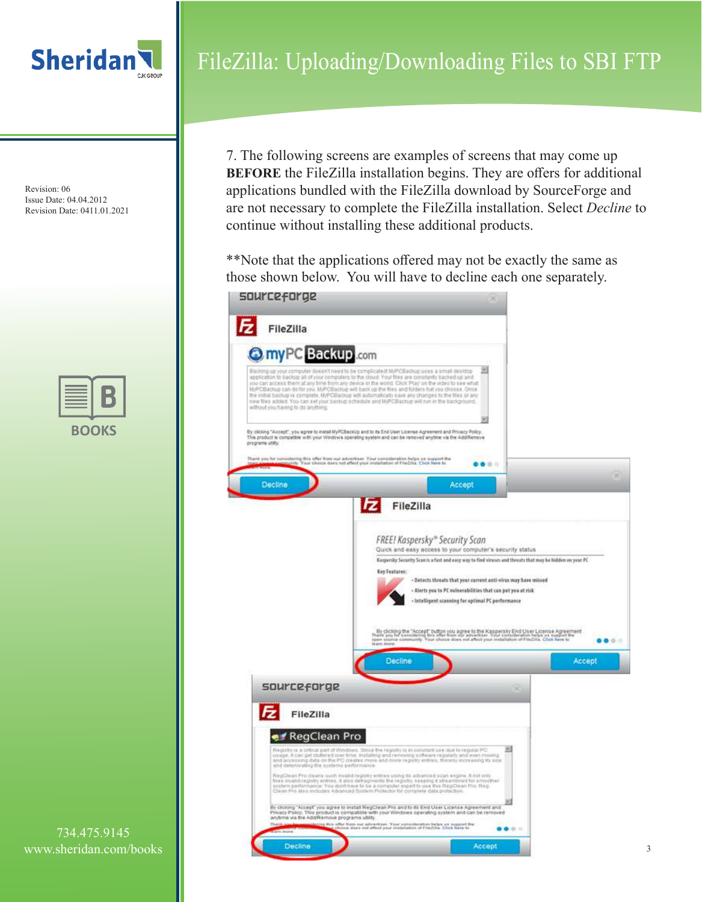

Revision: 06 Issue Date: 04.04.2012 Revision Date: 0411.01.2021

| U | $\overline{\phantom{a}}$<br>U<br>Ú |
|---|------------------------------------|

734.475.9145 www.sheridan.com/books

# FileZilla: Uploading/Downloading Files to SBI FTP

7. The following screens are examples of screens that may come up **BEFORE** the FileZilla installation begins. They are offers for additional applications bundled with the FileZilla download by SourceForge and are not necessary to complete the FileZilla installation. Select *Decline* to continue without installing these additional products.

\*\*Note that the applications offered may not be exactly the same as those shown below. You will have to decline each one separately.sourceforge

| FileZilla<br><b>O</b> myPC Backup .com<br>without you having to do anything. | 킈<br>Backing up your computer deean't need to be complicated! M/PCBackup uses a small desition<br>application to backup all of your computers to the cloud. Your files are constantly backed up and<br>you can access them at any time from any device in the world. Click Play' on the video to see what<br>MyPCBackup can do for you. MyPCBackup will back up the files and folders hat you choose. Once<br>the initial backed is complete. MyPCBackup will automatically save any chariges to the files of any<br>new files added. You can set your backup schedule and M/PCBackup will run in the background. |        |
|------------------------------------------------------------------------------|-------------------------------------------------------------------------------------------------------------------------------------------------------------------------------------------------------------------------------------------------------------------------------------------------------------------------------------------------------------------------------------------------------------------------------------------------------------------------------------------------------------------------------------------------------------------------------------------------------------------|--------|
| programs utility.                                                            | By clicking "Accept", you agree to matall MyPCBackUp and to its End User License Agreement and Privacy Policy.<br>This product is compatible with your Viledows operating system and can be removed anytime via the AddRemove<br>Durck you for considering this offer them our advertises. Your consideration helps us support the<br>$\bullet\bullet\circ\;\;\mathbin{\mathrel{\mathsf{--}}}$                                                                                                                                                                                                                    |        |
| <b>Decline</b>                                                               | Accept                                                                                                                                                                                                                                                                                                                                                                                                                                                                                                                                                                                                            |        |
|                                                                              | FileZilla                                                                                                                                                                                                                                                                                                                                                                                                                                                                                                                                                                                                         |        |
|                                                                              | FREE! Kaspersky® Security Scan                                                                                                                                                                                                                                                                                                                                                                                                                                                                                                                                                                                    |        |
|                                                                              | Quick and easy access to your computer's security status<br>Kaspersky Security Scan is a fast and easy way to find viruses and thousts that may be hidden on your PC                                                                                                                                                                                                                                                                                                                                                                                                                                              |        |
|                                                                              | Key Features:                                                                                                                                                                                                                                                                                                                                                                                                                                                                                                                                                                                                     |        |
|                                                                              |                                                                                                                                                                                                                                                                                                                                                                                                                                                                                                                                                                                                                   |        |
|                                                                              | - Detects threats that your current anti-virus may have missed<br>- Alerts you to PC vulnerabilities that can put you at risk                                                                                                                                                                                                                                                                                                                                                                                                                                                                                     |        |
|                                                                              | + Intelligent scanning for optimal PC performance                                                                                                                                                                                                                                                                                                                                                                                                                                                                                                                                                                 |        |
|                                                                              |                                                                                                                                                                                                                                                                                                                                                                                                                                                                                                                                                                                                                   |        |
|                                                                              | By clicking the "Accept" button you agree to the Kappersky End User License Agreement<br>that's you tel considering this inter from the acceptation. You'll contailleration fears as support the<br>open source community. Your choi<br>bearn mines.                                                                                                                                                                                                                                                                                                                                                              |        |
|                                                                              | Decline                                                                                                                                                                                                                                                                                                                                                                                                                                                                                                                                                                                                           | Accept |
|                                                                              |                                                                                                                                                                                                                                                                                                                                                                                                                                                                                                                                                                                                                   |        |
| sourceforge                                                                  | ×                                                                                                                                                                                                                                                                                                                                                                                                                                                                                                                                                                                                                 |        |
| FileZilla                                                                    |                                                                                                                                                                                                                                                                                                                                                                                                                                                                                                                                                                                                                   |        |
|                                                                              |                                                                                                                                                                                                                                                                                                                                                                                                                                                                                                                                                                                                                   |        |
| RegClean Pro                                                                 |                                                                                                                                                                                                                                                                                                                                                                                                                                                                                                                                                                                                                   |        |
| and detenticating the nutriens performance.                                  | Registry is a critical part of Windows. Since the registry is in constant use due to register PC.<br>usage. It can get duffered over time, installing and removing software regularly and even moving.<br>and accessing data on the PC creates more and more registry entries, thereby increasing its size                                                                                                                                                                                                                                                                                                        |        |
|                                                                              | RegClean Pro cleans such invalid registry entries using to advanced scan engine. It not only<br>fores invalid registry entries, it also deflagments the registry, keeping it atreamened for amoditier<br>system performance. You don't have to be a computer expert to use this RegClean Pro. Reg.                                                                                                                                                                                                                                                                                                                |        |
|                                                                              | Claran Pro also includes Advanced System Protector for complete data protection.                                                                                                                                                                                                                                                                                                                                                                                                                                                                                                                                  |        |
| anytme via the Add/Remove programs utility,                                  | By clicking 'Accept' you agree to install RegiDean Pro and to its End User License Agreement and<br>Privacy Policy. This product is compatible with your Windows operating system and can be removed<br>from our advertiser. Your consideration helps as support the<br>or does not affect your installation of Fita2cta. Once here to                                                                                                                                                                                                                                                                            |        |

3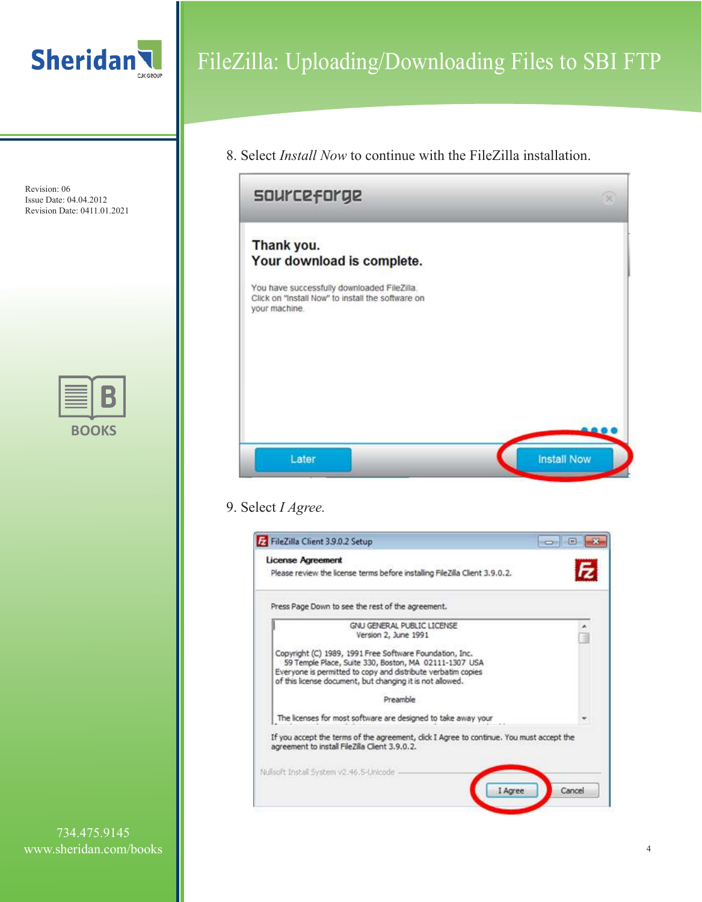

8. Select *Install Now* to continue with the FileZilla installation.



### 9. Select *I Agree.*

| Please review the license terms before installing FileZilla Client 3.9.0.2.                                                                                                                                                                   |  |
|-----------------------------------------------------------------------------------------------------------------------------------------------------------------------------------------------------------------------------------------------|--|
| Press Page Down to see the rest of the agreement.                                                                                                                                                                                             |  |
| GNU GENERAL PUBLIC LICENSE<br>Version 2, June 1991                                                                                                                                                                                            |  |
| Copyright (C) 1989, 1991 Free Software Foundation, Inc.<br>59 Temple Place, Suite 330, Boston, MA 02111-1307 USA<br>Everyone is permitted to copy and distribute verbatim copies<br>of this license document, but changing it is not allowed. |  |
| Preamble                                                                                                                                                                                                                                      |  |
| The licenses for most software are designed to take away your                                                                                                                                                                                 |  |
| If you accept the terms of the agreement, click I Agree to continue. You must accept the<br>agreement to install FileZila Client 3.9.0.2.                                                                                                     |  |
| Nullsoft Install System v2.46.5-Unicode                                                                                                                                                                                                       |  |

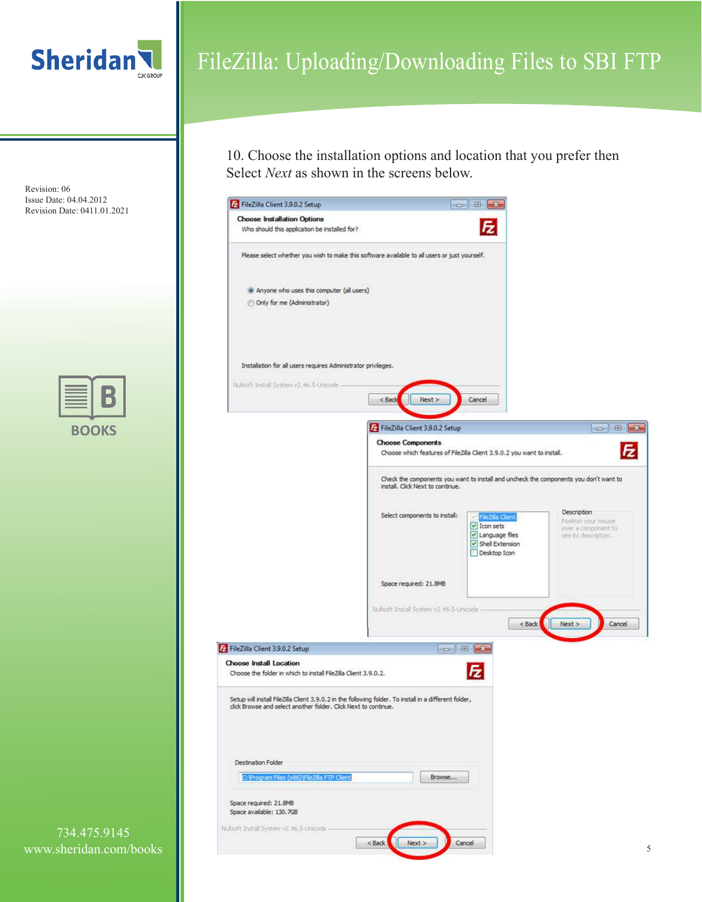

10. Choose the installation options and location that you prefer then Select *Next* as shown in the screens below.



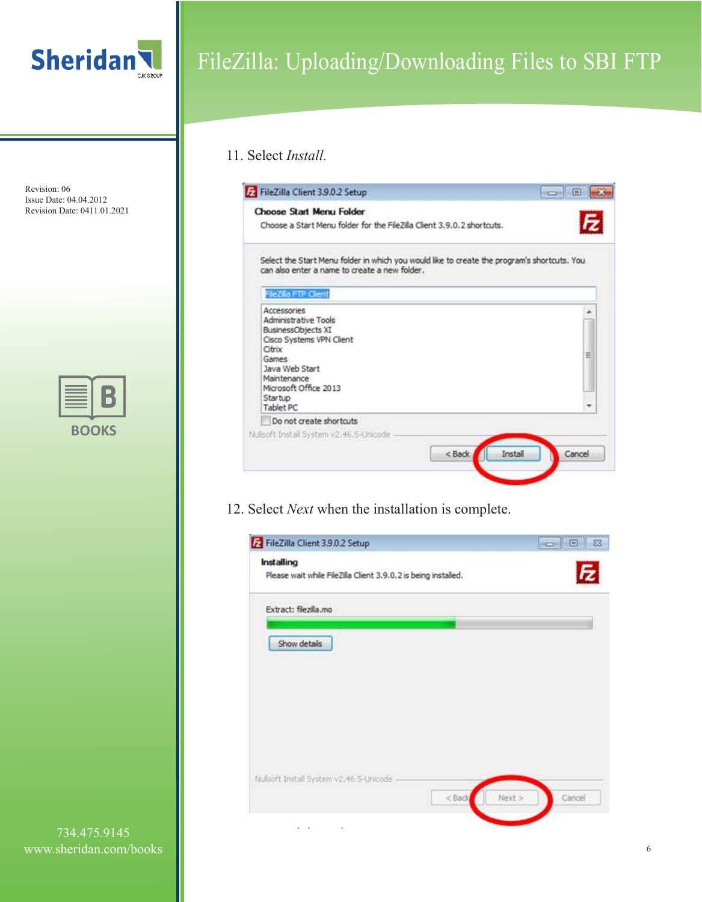

#### 11. Select *Install.*

| FileZilla Client 3.9.0.2 Setup                                                                                                               | $\Box$ |
|----------------------------------------------------------------------------------------------------------------------------------------------|--------|
| Choose Start Menu Folder                                                                                                                     |        |
| Choose a Start Menu folder for the FileZila Client 3.9.0.2 shortcuts.                                                                        |        |
| Select the Start Menu folder in which you would like to create the program's shortcuts. You<br>can also enter a name to create a new folder. |        |
| FileZilla FTP Client                                                                                                                         |        |
| Accessories<br>Administrative Tools                                                                                                          |        |
| BusinessObjects XI                                                                                                                           |        |
| Cisco Systems VPN Client<br>Citrix                                                                                                           |        |
| <b>Games</b>                                                                                                                                 | Ħ      |
| Java Web Start<br>Maintenance                                                                                                                |        |
| Microsoft Office 2013                                                                                                                        |        |
| Startup<br>Tablet PC                                                                                                                         |        |
| Do not create shortcuts                                                                                                                      |        |
| Nulsoft Install System v2.46.5-Unicode                                                                                                       |        |
| < Back<br>Install                                                                                                                            | Cancel |
|                                                                                                                                              |        |

12. Select *Next* when the installation is complete.

| Installing<br>Please wait while FileZilla Client 3.9.0.2 is being installed. |  | E |
|------------------------------------------------------------------------------|--|---|
| Extract: filezilla.mo                                                        |  |   |
| Show details                                                                 |  |   |
|                                                                              |  |   |
|                                                                              |  |   |
|                                                                              |  |   |
|                                                                              |  |   |
|                                                                              |  |   |
|                                                                              |  |   |
| Nullsoft Install System v2.46.5-Unicode                                      |  |   |

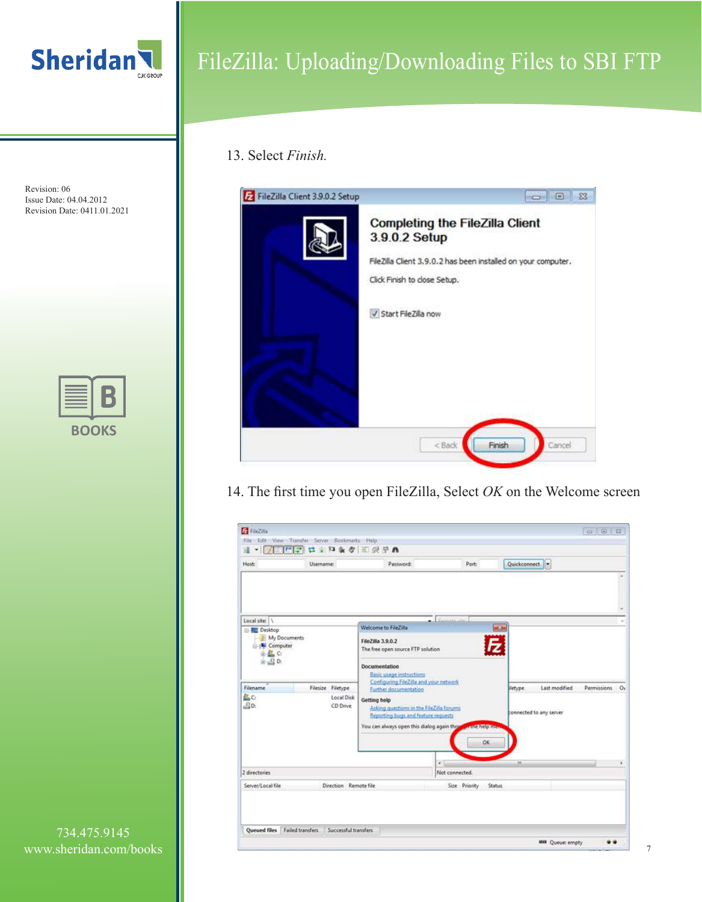

### 13. Select *Finish.*

| FileZilla Client 3.9.0.2 Setup |                                                                                                                                                          |
|--------------------------------|----------------------------------------------------------------------------------------------------------------------------------------------------------|
|                                | <b>Completing the FileZilla Client</b><br>3.9.0.2 Setup<br>FileZilla Client 3.9.0.2 has been installed on your computer.<br>Click Finish to close Setup. |
|                                | V Start FileZilla now                                                                                                                                    |
|                                | < Back<br>Cancel<br>Finish                                                                                                                               |

14. The first time you open FileZilla, Select *OK* on the Welcome screen

| Host:                                                                                                | Username:                     |                               | Password:                                                                                                                                      | Port:                     |                                     | Quickconnect            |                          |             |
|------------------------------------------------------------------------------------------------------|-------------------------------|-------------------------------|------------------------------------------------------------------------------------------------------------------------------------------------|---------------------------|-------------------------------------|-------------------------|--------------------------|-------------|
|                                                                                                      |                               |                               |                                                                                                                                                |                           |                                     |                         |                          |             |
| Local site:                                                                                          |                               |                               |                                                                                                                                                | <b>C. Expirits situal</b> |                                     |                         |                          |             |
| <b>Desktop</b><br>My Documents<br>Computer<br><b>BAC</b><br>$\mathbf{a}$ $\mathbf{a}$ $\mathbf{b}$ . |                               |                               | Welcome to FileZilla<br>FileZilla 3.9.0.2<br>The free open source FTP solution<br>Documentation<br>Basic usage instructions                    |                           | $+23$                               |                         |                          |             |
| Filename                                                                                             |                               | Filesize Filetype             | Configuring FileZilla and your network<br>Further documentation                                                                                |                           |                                     | iletype                 | Last modified            | Permissions |
| AL <sub>C</sub> :<br>B <sub>0</sub>                                                                  |                               | <b>Local Disk</b><br>CD Drive | Getting help<br>Asking questions in the FileZilla forums<br>Reporting bugs and feature requests<br>You can always open this dialog again these |                           | <b><i><u>artne</u></i></b> help mea | connected to any server |                          |             |
|                                                                                                      |                               |                               |                                                                                                                                                | ¥.                        | OK                                  | $\overline{z}$          |                          |             |
| 2 directories                                                                                        |                               |                               |                                                                                                                                                | Not connected.            |                                     |                         |                          |             |
| Server/Local file                                                                                    |                               | Direction Remote file         |                                                                                                                                                | Size Priority             | <b>Status</b>                       |                         |                          |             |
|                                                                                                      | Queued files Failed transfers | Successful transfers          |                                                                                                                                                |                           |                                     |                         |                          |             |
|                                                                                                      |                               |                               |                                                                                                                                                |                           |                                     |                         | <b>WIII</b> Queue: empty |             |

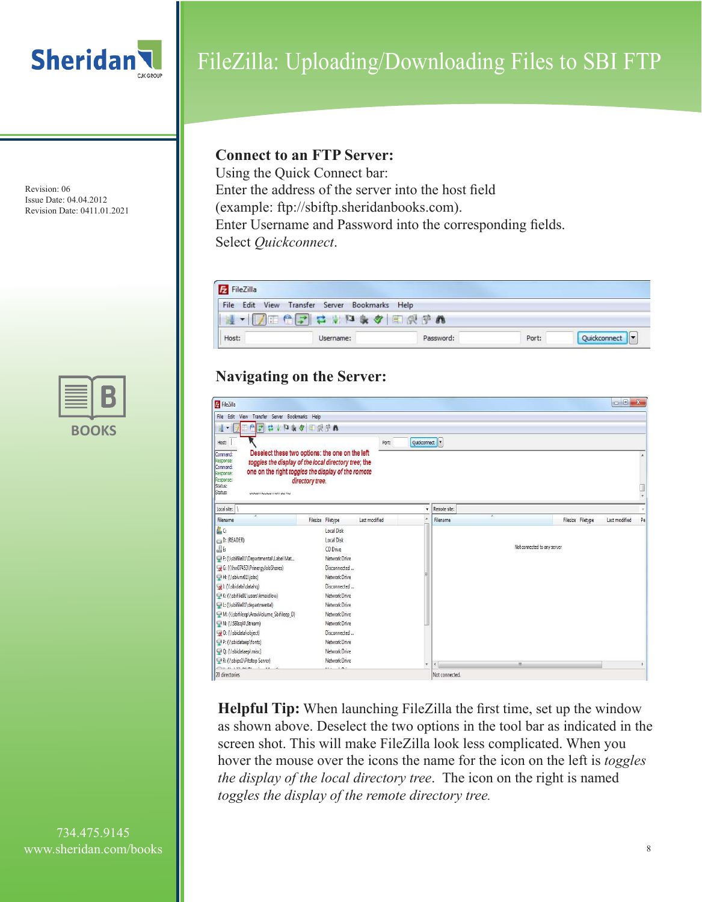

Revision: 06 Issue Date: 04.04.2012 Revision Date: 0411.01.2021



#### **Connect to an FTP Server:**

Using the Quick Connect bar: Enter the address of the server into the host field (example: ftp://sbiftp.sheridanbooks.com). Enter Username and Password into the corresponding fields. Select *Quickconnect*.



### **Navigating on the Server:**

| FileZilla                                                                         |                                                                                                         |               |              |                          |                             |                   | $\Box$<br>$\mathbf{x}$ |
|-----------------------------------------------------------------------------------|---------------------------------------------------------------------------------------------------------|---------------|--------------|--------------------------|-----------------------------|-------------------|------------------------|
| File Edit View Transfer Server Bookmarks Help                                     |                                                                                                         |               |              |                          |                             |                   |                        |
| <b>El</b><br>$\blacktriangledown$<br>隁                                            | <b>東夕国興学品</b>                                                                                           |               |              |                          |                             |                   |                        |
| Host:<br>Command:<br>Response:                                                    | Deselect these two options: the one on the left<br>toggles the display of the local directory tree; the | Port:         | Quickconnect |                          |                             |                   |                        |
| Command:<br>Response:<br>Response:<br>Status:<br>Status:<br>DRAWINGTON HWY ALL YE | one on the right toggles the display of the romote<br>directory tree.                                   |               |              |                          |                             |                   |                        |
| Local site:                                                                       |                                                                                                         |               |              | Remote site:             |                             |                   |                        |
| Filename                                                                          | Filesize Filetype                                                                                       | Last modified | $\lambda$    | Filename                 |                             | Filesize Filetype | Pe<br>Last modified    |
| 鸟C:                                                                               | Local Disk                                                                                              |               |              |                          |                             |                   |                        |
| D: (READER)                                                                       | Local Disk                                                                                              |               |              |                          |                             |                   |                        |
| <u>යි</u> ව                                                                       | CD Drive                                                                                                |               |              |                          | Not connected to any server |                   |                        |
| F: (\\sbifile01\Departmental\Label Mat                                            | Network Drive                                                                                           |               |              |                          |                             |                   |                        |
| G: (\\hw07453\PrinergyJobShares)                                                  | Disconnected                                                                                            |               |              |                          |                             |                   |                        |
| H: (\\sbivm01\jobs)                                                               | Network Drive                                                                                           |               |              |                          |                             |                   |                        |
| J: (\\sbidata\datahq)                                                             | Disconnected                                                                                            |               |              |                          |                             |                   |                        |
| K: (\\sbifile01\users\kmaidlow)                                                   | Network Drive                                                                                           |               |              |                          |                             |                   |                        |
| L: (\\sbifile01\departmental)                                                     | Network Drive                                                                                           |               |              |                          |                             |                   |                        |
| M: (\\sbifileep\AraxiVolume_Sbifileep_D)                                          | <b>Network Drive</b>                                                                                    |               |              |                          |                             |                   |                        |
| N: (\\SBIsql4\Stream)                                                             | Network Drive                                                                                           |               |              |                          |                             |                   |                        |
| Q: (\\sbidata\object)                                                             | Disconnected                                                                                            |               |              |                          |                             |                   |                        |
| P: (\\sbidataep\fonts)                                                            | Network Drive                                                                                           |               |              |                          |                             |                   |                        |
| Q: (\\sbidataep\misc)                                                             | Network Drive                                                                                           |               |              |                          |                             |                   |                        |
| R: (\\sbips1\Pitstop Server)                                                      | Network Drive                                                                                           |               | ۰            | $\overline{\phantom{a}}$ | $\mathbf{m}$                |                   |                        |
| 20 directories                                                                    | $1 - 5 - 1$                                                                                             |               |              | Not connected.           |                             |                   |                        |

**Helpful Tip:** When launching FileZilla the first time, set up the window as shown above. Deselect the two options in the tool bar as indicated in the screen shot. This will make FileZilla look less complicated. When you hover the mouse over the icons the name for the icon on the left is *toggles the display of the local directory tree*. The icon on the right is named *toggles the display of the remote directory tree.* 

734.475.9145 www.sheridan.com/books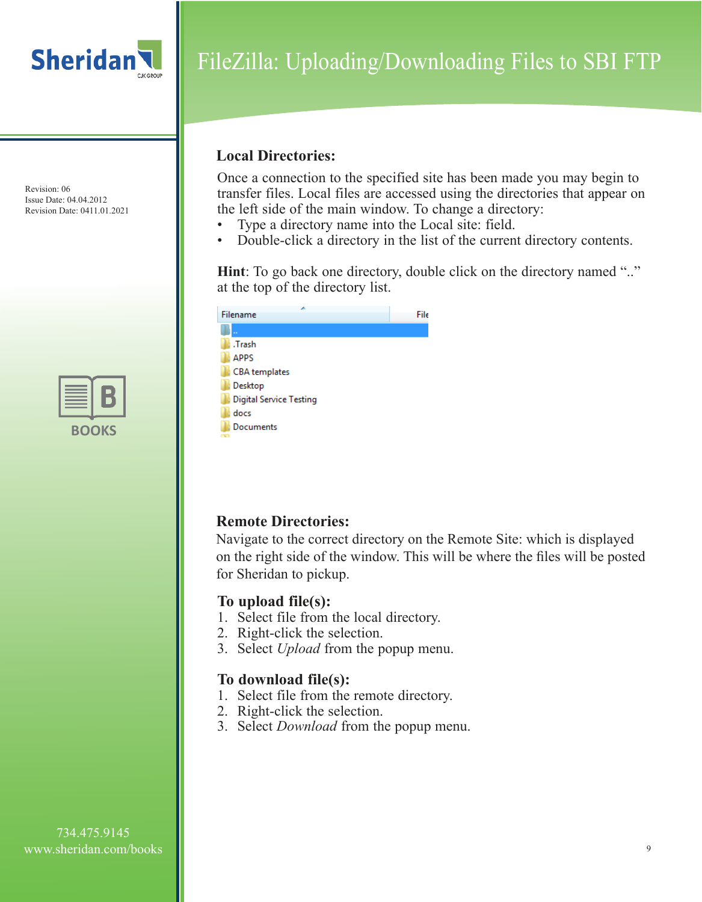

Revision: 06 Issue Date: 04.04.2012 Revision Date: 0411.01.2021

| BO | <b>UKS</b> |
|----|------------|

# FileZilla: Uploading/Downloading Files to SBI FTP

### **Local Directories:**

Once a connection to the specified site has been made you may begin to transfer files. Local files are accessed using the directories that appear on the left side of the main window. To change a directory:

- Type a directory name into the Local site: field.
- Double-click a directory in the list of the current directory contents.

**Hint**: To go back one directory, double click on the directory named ".." at the top of the directory list.

| ⊿<br>Filename           | File |
|-------------------------|------|
|                         |      |
| .Trash                  |      |
| <b>APPS</b>             |      |
| CBA templates           |      |
| Desktop                 |      |
| Digital Service Testing |      |
| docs                    |      |
| <b>Documents</b>        |      |
| <b>Chain</b>            |      |

## **Remote Directories:**

Navigate to the correct directory on the Remote Site: which is displayed on the right side of the window. This will be where the files will be posted for Sheridan to pickup.

### **To upload file(s):**

- 1. Select file from the local directory.
- 2. Right-click the selection.
- 3. Select *Upload* from the popup menu.

### **To download file(s):**

- 1. Select file from the remote directory.
- 2. Right-click the selection.
- 3. Select *Download* from the popup menu.